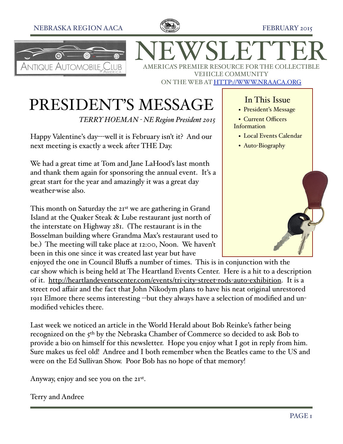



NEWSLETTER AMERICA'S PREMIER RESOURCE FOR THE COLLECTIBLE VEHICLE COMMUNITY ON THE WEB AT [HTTP://WWW.NRAACA.ORG](http://www.aacanr.org)

# PRESIDENT'S MESSAGE

*TERRY HOEMAN - NE Region President 2015*

Happy Valentine's day---well it is February isn't it? And our next meeting is exactly a week after THE Day.

We had a great time at Tom and Jane LaHood's last month and thank them again for sponsoring the annual event. It's a great start for the year and amazingly it was a great day weather-wise also.

This month on Saturday the 21<sup>st</sup> we are gathering in Grand Island at the Quaker Steak & Lube restaurant just north of the interstate on Highway 281. (The restaurant is in the Bosselman building where Grandma Max's restaurant used to be.) The meeting will take place at 12:00, Noon. We haven't been in this one since it was created last year but have

enjoyed the one in Council Bluffs a number of times. This is in conjunction with the car show which is being held at The Heartland Events Center. Here is a hit to a description of it. [http://heartlandeventscenter.com/events/tri](http://heartlandeventscenter.com/events/tri-city-street-rods-auto-exhibition)-city-street-rods-auto-exhibition. It is a street rod affair and the fact that John Nikodym plans to have his neat original unrestored 1911 Elmore there seems interesting --but they always have a selection of modified and unmodified vehicles there.

Last week we noticed an article in the World Herald about Bob Reinke's father being recognized on the 5th by the Nebraska Chamber of Commerce so decided to ask Bob to provide a bio on himself for this newsletter. Hope you enjoy what I got in reply from him. Sure makes us feel old! Andree and I both remember when the Beatles came to the US and were on the Ed Sullivan Show. Poor Bob has no hope of that memory!

Anyway, enjoy and see you on the 21st.

Terry and Andree

## In This Issue

- President's Message
- Current Officers Information
	- Local Events Calendar
- Auto-Biography

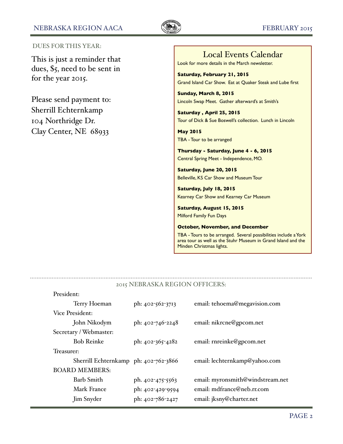

#### DUES FOR THIS YEAR:

This is just a reminder that dues, \$5, need to be sent in for the year 2015.

Please send payment to: Sherrill Echternkamp 104 Northridge Dr. Clay Center, NE 68933

## Local Events Calendar

Look for more details in the March newsletter.

**Saturday, February 21, 2015** Grand Island Car Show. Eat at Quaker Steak and Lube first

**Sunday, March 8, 2015** Lincoln Swap Meet. Gather afterward's at Smith's

**Saturday , April 25, 2015** Tour of Dick & Sue Boswell's collection. Lunch in Lincoln

**May 2015** TBA - Tour to be arranged

**Thursday - Saturday, June 4 - 6, 2015** Central Spring Meet - Independence, MO.

**Saturday, June 20, 2015** Belleville, KS Car Show and Museum Tour

**Saturday, July 18, 2015** Kearney Car Show and Kearney Car Museum

**Saturday, August 15, 2015** Milford Family Fun Days

#### **October, November, and December**

TBA - Tours to be arranged. Several possibilities include a York area tour as well as the Stuhr Museum in Grand Island and the Minden Christmas lights.

### 2015 NEBRASKA REGION OFFICERS:

| President:             |                                       |                  |                                  |  |  |
|------------------------|---------------------------------------|------------------|----------------------------------|--|--|
|                        | Terry Hoeman                          | ph: 402-562-3713 | email: tehoema@megavision.com    |  |  |
| Vice President:        |                                       |                  |                                  |  |  |
|                        | John Nikodym                          | ph: 402-746-2248 | email: nikrcne@gpcom.net         |  |  |
| Secretary / Webmaster: |                                       |                  |                                  |  |  |
|                        | <b>Bob Reinke</b>                     | ph: 402-365-4282 | email: rnreinke@gpcom.net        |  |  |
| Treasurer:             |                                       |                  |                                  |  |  |
|                        | Sherrill Echternkamp ph: 402-762-3866 |                  | email: lechternkamp@yahoo.com    |  |  |
| <b>BOARD MEMBERS:</b>  |                                       |                  |                                  |  |  |
|                        | <b>Barb Smith</b>                     | ph. 402-475-5563 | email: myronsmith@windstream.net |  |  |
|                        | Mark France                           | ph: 402-429-9594 | email: mdfrance@neb.rr.com       |  |  |
|                        | Jim Snyder                            | ph: 402-786-2427 | email: jksny@charter.net         |  |  |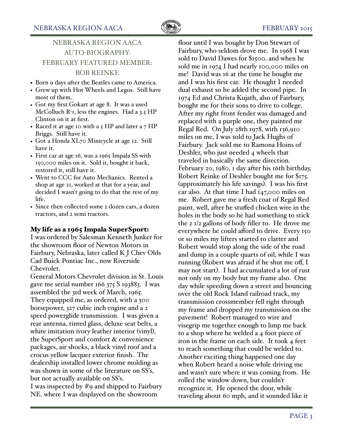## NEBRASKA REGION AACA AUTO-BIOGRAPHY: FEBRUARY FEATURED MEMBER: BOB REINKE

- Born 9 days after the Beatles came to America.
- Grew up with Hot Wheels and Legos. Still have most of them.
- Got my first Gokart at age 8. It was a used McColluch R-1, less the engines. Had a 3.5 HP Clinton on it at first.
- Raced it at age 10 with a  $5$  HP and later a  $7$  HP Briggs. Still have it.
- Got a Honda XL70 Minicycle at age 12. Still have it.
- First car at age 16, was a 1965 Impala SS with 150,000 miles on it. Sold it, bought it back, restored it, still have it.
- Went to CCC for Auto Mechanics. Rented a shop at age 21, worked at that for a year, and decided I wasn't going to do that the rest of my life.
- Since then collected some 2 dozen cars, a dozen tractors, and 2 semi tractors.

#### My life as a 1965 Impala SuperSport:

I was ordered by Salesman Kenneth Junker for the showroom floor of Newton Motors in Fairbury, Nebraska, later called K J Chev Olds Cad Buick Pontiac Inc., now Riverside Chevrolet.

General Motors Chevrolet division in St. Louis gave me serial number 166 375 S 193883. I was assembled the 3rd week of March, 1965. They equipped me, as ordered, with a 300 horsepower, 327 cubic inch engine and a 2 speed powerglide transmission. I was given a rear antenna, tinted glass, deluxe seat belts, a white imitation ivory leather interior (vinyl), the SuperSport and comfort & convenience packages, air shocks, a black vinyl roof and a crocus yellow lacquer exterior finish. The dealership installed lower chrome molding as was shown in some of the literature on SS's, but not actually available on SS's. I was inspected by #9 and shipped to Fairbury NE. where I was displayed on the showroom

floor until I was bought by Don Stewart of Fairbury, who seldom drove me. In 1968 I was sold to David Dawes for \$1500. and when he sold me in 1974 I had nearly 100,000 miles on me! David was 16 at the time he bought me and I was his first car. He thought I needed dual exhaust so he added the second pipe. In 1974 Ed and Christa Kujath, also of Fairbury, bought me for their sons to drive to college. After my right front fender was damaged and replaced with a purple one, they painted me Regal Red. On July 28th 1978, with 136,910 miles on me, I was sold to Jack Hughs of Fairbury. Jack sold me to Ramona Hoins of Deshler, who just needed 4 wheels that traveled in basically the same direction. February 20, 1980, 1 day after his 16th birthday, Robert Reinke of Deshler bought me for \$175. (approximately his life savings). I was his first car also. At that time I had 147,000 miles on me. Robert gave me a fresh coat of Regal Red paint, well, after he stuffed chicken wire in the holes in the body so he had something to stick the 2 1/2 gallons of body filler to. He drove me everywhere he could afford to drive. Every 150 or so miles my lifters started to clatter and Robert would stop along the side of the road and dump in a couple quarts of oil, while I was running (Robert was afraid if he shut me off, I may not start). I had accumulated a lot of rust not only on my body but my frame also. One day while speeding down a street and bouncing over the old Rock Island railroad track, my transmission crossmember fell right through my frame and dropped my transmission on the pavement! Robert managed to wire and visegrip me together enough to limp me back to a shop where he welded a 4 foot piece of iron in the frame on each side. It took 4 feet to reach something that could be welded to. Another exciting thing happened one day when Robert heard a noise while driving me and wasn't sure where it was coming from. He rolled the window down, but couldn't recognize it. He opened the door, while traveling about 60 mph, and it sounded like it